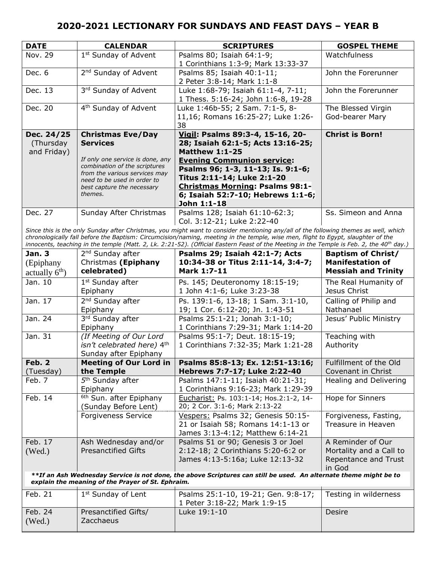| <b>DATE</b> | <b>CALENDAR</b>                                                | <b>SCRIPTURES</b>                      | <b>GOSPEL THEME</b>    |
|-------------|----------------------------------------------------------------|----------------------------------------|------------------------|
| Nov. 29     | 1 <sup>st</sup> Sunday of Advent                               | Psalms 80; Isaiah 64:1-9;              | Watchfulness           |
|             |                                                                | 1 Corinthians 1:3-9; Mark 13:33-37     |                        |
| Dec. 6      | 2 <sup>nd</sup> Sunday of Advent                               | Psalms 85; Isaiah 40:1-11;             | John the Forerunner    |
|             |                                                                | 2 Peter 3:8-14; Mark 1:1-8             |                        |
| Dec. 13     | 3rd Sunday of Advent                                           | Luke 1:68-79; Isaiah 61:1-4, 7-11;     | John the Forerunner    |
|             |                                                                | 1 Thess. 5:16-24; John 1:6-8, 19-28    |                        |
| Dec. 20     | 4 <sup>th</sup> Sunday of Advent                               | Luke 1:46b-55; 2 Sam. 7:1-5, 8-        | The Blessed Virgin     |
|             |                                                                | 11,16; Romans 16:25-27; Luke 1:26-     | God-bearer Mary        |
|             |                                                                | 38                                     |                        |
| Dec. 24/25  | <b>Christmas Eve/Day</b>                                       | Vigil: Psalms 89:3-4, 15-16, 20-       | <b>Christ is Born!</b> |
| (Thursday   | <b>Services</b>                                                | 28; Isaiah 62:1-5; Acts 13:16-25;      |                        |
| and Friday) |                                                                | <b>Matthew 1:1-25</b>                  |                        |
|             | If only one service is done, any                               | <b>Evening Communion service:</b>      |                        |
|             | combination of the scriptures<br>from the various services may | Psalms 96; 1-3, 11-13; Is. 9:1-6;      |                        |
|             | need to be used in order to                                    | Titus 2:11-14; Luke 2:1-20             |                        |
|             | best capture the necessary                                     | <b>Christmas Morning: Psalms 98:1-</b> |                        |
|             | themes.                                                        | 6; Isaiah 52:7-10; Hebrews 1:1-6;      |                        |
|             |                                                                | John 1:1-18                            |                        |
| Dec. 27     | Sunday After Christmas                                         | Psalms 128; Isaiah 61:10-62:3;         | Ss. Simeon and Anna    |
|             |                                                                | Col. 3:12-21; Luke 2:22-40             |                        |

*Since this is the only Sunday after Christmas, you might want to consider mentioning any/all of the following themes as well, which chronologically fall before the Baptism: Circumcision/naming, meeting in the temple, wise men, flight to Egypt, slaughter of the innocents, teaching in the temple (Matt. 2, Lk. 2:21-52). (Official Eastern Feast of the Meeting in the Temple is Feb. 2, the 40th day.)*

| Jan. 3<br>(Epiphany<br>actually $6th$ )                                                                                                                                | 2 <sup>nd</sup> Sunday after<br>Christmas (Epiphany<br>celebrated)             | Psalms 29; Isaiah 42:1-7; Acts<br>10:34-38 or Titus 2:11-14, 3:4-7;<br>Mark 1:7-11                           | <b>Baptism of Christ/</b><br><b>Manifestation of</b><br><b>Messiah and Trinity</b> |
|------------------------------------------------------------------------------------------------------------------------------------------------------------------------|--------------------------------------------------------------------------------|--------------------------------------------------------------------------------------------------------------|------------------------------------------------------------------------------------|
| Jan. 10                                                                                                                                                                | $1st$ Sunday after<br>Epiphany                                                 | Ps. 145; Deuteronomy 18:15-19;<br>1 John 4:1-6; Luke 3:23-38                                                 | The Real Humanity of<br>Jesus Christ                                               |
| Jan. 17                                                                                                                                                                | $2nd$ Sunday after<br>Epiphany                                                 | Ps. 139:1-6, 13-18; 1 Sam. 3:1-10,<br>19; 1 Cor. 6:12-20; Jn. 1:43-51                                        | Calling of Philip and<br>Nathanael                                                 |
| Jan. 24                                                                                                                                                                | 3rd Sunday after<br>Epiphany                                                   | Psalms 25:1-21; Jonah 3:1-10;<br>1 Corinthians 7:29-31; Mark 1:14-20                                         | Jesus' Public Ministry                                                             |
| Jan. 31                                                                                                                                                                | (If Meeting of Our Lord<br>isn't celebrated here) 4th<br>Sunday after Epiphany | Psalms 95:1-7; Deut. 18:15-19;<br>1 Corinthians 7:32-35; Mark 1:21-28                                        | Teaching with<br>Authority                                                         |
| Feb. 2                                                                                                                                                                 | <b>Meeting of Our Lord in</b>                                                  | Psalms 85:8-13; Ex. 12:51-13:16;                                                                             | Fulfillment of the Old                                                             |
| (Tuesday)                                                                                                                                                              | the Temple                                                                     | Hebrews 7:7-17; Luke 2:22-40                                                                                 | Covenant in Christ                                                                 |
| Feb. 7                                                                                                                                                                 | 5 <sup>th</sup> Sunday after<br>Epiphany                                       | Psalms 147:1-11; Isaiah 40:21-31;<br>1 Corinthians 9:16-23; Mark 1:29-39                                     | Healing and Delivering                                                             |
| Feb. 14                                                                                                                                                                | <sup>6th</sup> Sun. after Epiphany<br>(Sunday Before Lent)                     | Eucharist: Ps. 103:1-14; Hos.2:1-2, 14-<br>20; 2 Cor. 3:1-6; Mark 2:13-22                                    | Hope for Sinners                                                                   |
|                                                                                                                                                                        | <b>Forgiveness Service</b>                                                     | Vespers: Psalms 32; Genesis 50:15-<br>21 or Isaiah 58; Romans 14:1-13 or<br>James 3:13-4:12; Matthew 6:14-21 | Forgiveness, Fasting,<br>Treasure in Heaven                                        |
| Feb. 17<br>(Wed.)                                                                                                                                                      | Ash Wednesday and/or<br><b>Presanctified Gifts</b>                             | Psalms 51 or 90; Genesis 3 or Joel<br>2:12-18; 2 Corinthians 5:20-6:2 or<br>James 4:13-5:16a; Luke 12:13-32  | A Reminder of Our<br>Mortality and a Call to<br>Repentance and Trust<br>in God     |
| **If an Ash Wednesday Service is not done, the above Scriptures can still be used. An alternate theme might be to<br>explain the meaning of the Prayer of St. Ephraim. |                                                                                |                                                                                                              |                                                                                    |
| Feb. 21                                                                                                                                                                | 1 <sup>st</sup> Sunday of Lent                                                 | Psalms 25:1-10, 19-21; Gen. 9:8-17;<br>1 Peter 3:18-22; Mark 1:9-15                                          | Testing in wilderness                                                              |
| Feb. 24<br>(Wed.)                                                                                                                                                      | Presanctified Gifts/<br>Zacchaeus                                              | Luke 19:1-10                                                                                                 | Desire                                                                             |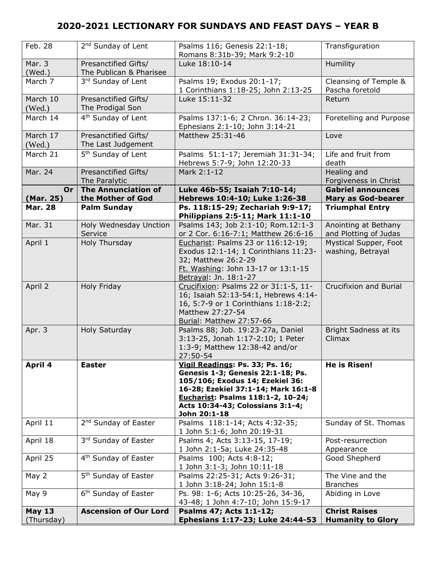| Feb. 28                     | 2 <sup>nd</sup> Sunday of Lent                  | Psalms 116; Genesis 22:1-18;<br>Romans 8:31b-39; Mark 9:2-10                                                                                                                                                                            | Transfiguration                                       |
|-----------------------------|-------------------------------------------------|-----------------------------------------------------------------------------------------------------------------------------------------------------------------------------------------------------------------------------------------|-------------------------------------------------------|
| Mar. 3<br>(Wed.)            | Presanctified Gifts/<br>The Publican & Pharisee | Luke 18:10-14                                                                                                                                                                                                                           | Humility                                              |
| March 7                     | 3rd Sunday of Lent                              | Psalms 19; Exodus 20:1-17;<br>1 Corinthians 1:18-25; John 2:13-25                                                                                                                                                                       | Cleansing of Temple &<br>Pascha foretold              |
| March 10<br>(Wed.)          | Presanctified Gifts/<br>The Prodigal Son        | Luke 15:11-32                                                                                                                                                                                                                           | Return                                                |
| March 14                    | 4 <sup>th</sup> Sunday of Lent                  | Psalms 137:1-6; 2 Chron. 36:14-23;<br>Ephesians 2:1-10; John 3:14-21                                                                                                                                                                    | Foretelling and Purpose                               |
| March 17<br>(Wed.)          | Presanctified Gifts/<br>The Last Judgement      | Matthew 25:31-46                                                                                                                                                                                                                        | Love                                                  |
| March 21                    | 5 <sup>th</sup> Sunday of Lent                  | Psalms 51:1-17; Jeremiah 31:31-34;<br>Hebrews 5:7-9; John 12:20-33                                                                                                                                                                      | Life and fruit from<br>death                          |
| Mar. 24                     | Presanctified Gifts/<br>The Paralytic           | Mark 2:1-12                                                                                                                                                                                                                             | Healing and<br>Forgiveness in Christ                  |
| Or<br>(Mar. 25)             | <b>The Annunciation of</b><br>the Mother of God | Luke 46b-55; Isaiah 7:10-14;<br>Hebrews 10:4-10; Luke 1:26-38                                                                                                                                                                           | <b>Gabriel announces</b><br><b>Mary as God-bearer</b> |
| <b>Mar. 28</b>              | <b>Palm Sunday</b>                              | Ps. 118:15-29; Zechariah 9:9-17;<br>Philippians 2:5-11; Mark 11:1-10                                                                                                                                                                    | <b>Triumphal Entry</b>                                |
| Mar. 31                     | Holy Wednesday Unction<br>Service               | Psalms 143; Job 2:1-10; Rom.12:1-3<br>or 2 Cor. 6:16-7:1; Matthew 26:6-16                                                                                                                                                               | Anointing at Bethany<br>and Plotting of Judas         |
| April 1                     | Holy Thursday                                   | Eucharist: Psalms 23 or 116:12-19;<br>Exodus 12:1-14; 1 Corinthians 11:23-<br>32; Matthew 26:2-29<br>Ft. Washing: John 13-17 or 13:1-15<br>Betrayal: Jn. 18:1-27                                                                        | Mystical Supper, Foot<br>washing, Betrayal            |
| April 2                     | Holy Friday                                     | Crucifixion: Psalms 22 or 31:1-5, 11-<br>16; Isaiah 52:13-54:1, Hebrews 4:14-<br>16, 5:7-9 or 1 Corinthians 1:18-2:2;<br>Matthew 27:27-54<br>Burial: Matthew 27:57-66                                                                   | Crucifixion and Burial                                |
| Apr. 3                      | Holy Saturday                                   | Psalms 88; Job. 19:23-27a, Daniel<br>3:13-25, Jonah 1:17-2:10; 1 Peter<br>1:3-9; Matthew 12:38-42 and/or<br>27:50-54                                                                                                                    | Bright Sadness at its<br>Climax                       |
| April 4                     | <b>Easter</b>                                   | Vigil Readings: Ps. 33; Ps. 16;<br>Genesis 1-3; Genesis 22:1-18; Ps.<br>105/106; Exodus 14; Ezekiel 36:<br>16-28; Ezekiel 37:1-14; Mark 16:1-8<br>Eucharist: Psalms 118:1-2, 10-24;<br>Acts 10:34-43; Colossians 3:1-4;<br>John 20:1-18 | <b>He is Risen!</b>                                   |
| April 11                    | 2 <sup>nd</sup> Sunday of Easter                | Psalms 118:1-14; Acts 4:32-35;<br>1 John 5:1-6; John 20:19-31                                                                                                                                                                           | Sunday of St. Thomas                                  |
| April 18                    | 3rd Sunday of Easter                            | Psalms 4; Acts 3:13-15, 17-19;<br>1 John 2:1-5a; Luke 24:35-48                                                                                                                                                                          | Post-resurrection<br>Appearance                       |
| April 25                    | 4 <sup>th</sup> Sunday of Easter                | Psalms 100; Acts 4:8-12;<br>1 John 3:1-3; John 10:11-18                                                                                                                                                                                 | Good Shepherd                                         |
| May 2                       | 5 <sup>th</sup> Sunday of Easter                | Psalms 22:25-31; Acts 9:26-31;<br>1 John 3:18-24; John 15:1-8                                                                                                                                                                           | The Vine and the<br><b>Branches</b>                   |
| May 9                       | 6 <sup>th</sup> Sunday of Easter                | Ps. 98: 1-6; Acts 10:25-26, 34-36,<br>43-48; 1 John 4:7-10; John 15:9-17                                                                                                                                                                | Abiding in Love                                       |
| <b>May 13</b><br>(Thursday) | <b>Ascension of Our Lord</b>                    | Psalms 47; Acts 1:1-12;<br>Ephesians 1:17-23; Luke 24:44-53                                                                                                                                                                             | <b>Christ Raises</b><br><b>Humanity to Glory</b>      |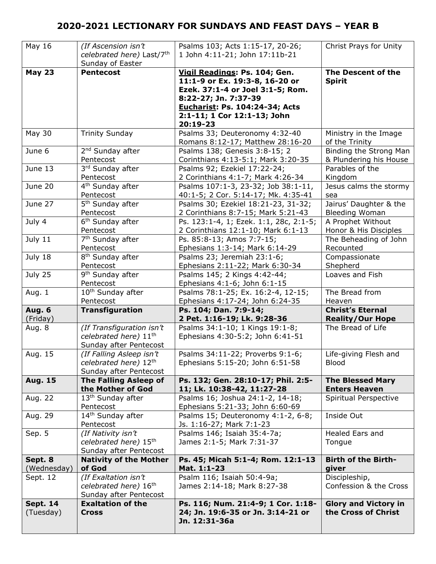| May 16                       | (If Ascension isn't<br>celebrated here) Last/7th<br>Sunday of Easter                     | Psalms 103; Acts 1:15-17, 20-26;<br>1 John 4:11-21; John 17:11b-21                                                                                                                                              | Christ Prays for Unity                             |
|------------------------------|------------------------------------------------------------------------------------------|-----------------------------------------------------------------------------------------------------------------------------------------------------------------------------------------------------------------|----------------------------------------------------|
| <b>May 23</b>                | <b>Pentecost</b>                                                                         | Vigil Readings: Ps. 104; Gen.<br>11:1-9 or Ex. 19:3-8, 16-20 or<br>Ezek. 37:1-4 or Joel 3:1-5; Rom.<br>8:22-27; Jn. 7:37-39<br><b>Eucharist: Ps. 104:24-34; Acts</b><br>2:1-11; 1 Cor 12:1-13; John<br>20:19-23 | The Descent of the<br><b>Spirit</b>                |
| <b>May 30</b>                | <b>Trinity Sunday</b>                                                                    | Psalms 33; Deuteronomy 4:32-40<br>Romans 8:12-17; Matthew 28:16-20                                                                                                                                              | Ministry in the Image<br>of the Trinity            |
| June 6                       | 2 <sup>nd</sup> Sunday after                                                             | Psalms 138; Genesis 3:8-15; 2                                                                                                                                                                                   | Binding the Strong Man                             |
|                              | Pentecost                                                                                | Corinthians 4:13-5:1; Mark 3:20-35                                                                                                                                                                              | & Plundering his House                             |
| June 13                      | 3rd Sunday after                                                                         | Psalms 92; Ezekiel 17:22-24;                                                                                                                                                                                    | Parables of the                                    |
|                              | Pentecost                                                                                | 2 Corinthians 4:1-7; Mark 4:26-34                                                                                                                                                                               | Kingdom                                            |
| June 20                      | 4 <sup>th</sup> Sunday after                                                             | Psalms 107:1-3, 23-32; Job 38:1-11,                                                                                                                                                                             | Jesus calms the stormy                             |
|                              | Pentecost                                                                                | 40:1-5; 2 Cor. 5:14-17; Mk. 4:35-41                                                                                                                                                                             | sea                                                |
| June 27                      | 5 <sup>th</sup> Sunday after                                                             | Psalms 30; Ezekiel 18:21-23, 31-32;                                                                                                                                                                             | Jairus' Daughter & the                             |
|                              | Pentecost                                                                                | 2 Corinthians 8:7-15; Mark 5:21-43                                                                                                                                                                              | <b>Bleeding Woman</b>                              |
| July 4                       | 6 <sup>th</sup> Sunday after                                                             | Ps. 123:1-4, 1; Ezek. 1:1, 28c, 2:1-5;                                                                                                                                                                          | A Prophet Without                                  |
|                              | Pentecost                                                                                | 2 Corinthians 12:1-10; Mark 6:1-13                                                                                                                                                                              | Honor & His Disciples                              |
| July 11                      | 7 <sup>th</sup> Sunday after                                                             | Ps. 85:8-13; Amos 7:7-15;                                                                                                                                                                                       | The Beheading of John                              |
|                              | Pentecost                                                                                | Ephesians 1:3-14; Mark 6:14-29                                                                                                                                                                                  | Recounted                                          |
| July 18                      | 8 <sup>th</sup> Sunday after                                                             | Psalms 23; Jeremiah 23:1-6;                                                                                                                                                                                     | Compassionate                                      |
|                              | Pentecost                                                                                | Ephesians 2:11-22; Mark 6:30-34                                                                                                                                                                                 | Shepherd                                           |
| July 25                      | 9 <sup>th</sup> Sunday after<br>Pentecost                                                | Psalms 145; 2 Kings 4:42-44;<br>Ephesians 4:1-6; John 6:1-15                                                                                                                                                    | Loaves and Fish                                    |
| Aug. 1                       | 10 <sup>th</sup> Sunday after                                                            | Psalms 78:1-25; Ex. 16:2-4, 12-15;                                                                                                                                                                              | The Bread from                                     |
|                              | Pentecost                                                                                | Ephesians 4:17-24; John 6:24-35                                                                                                                                                                                 | Heaven                                             |
| <b>Aug. 6</b>                | <b>Transfiguration</b>                                                                   | Ps. 104; Dan. 7:9-14;                                                                                                                                                                                           | <b>Christ's Eternal</b>                            |
| (Friday)                     |                                                                                          | 2 Pet. 1:16-19; Lk. 9:28-36                                                                                                                                                                                     | <b>Reality/Our Hope</b>                            |
| Aug. 8                       | (If Transfiguration isn't<br>celebrated here) 11 <sup>th</sup><br>Sunday after Pentecost | Psalms 34:1-10; 1 Kings 19:1-8;<br>Ephesians 4:30-5:2; John 6:41-51                                                                                                                                             | The Bread of Life                                  |
| Aug. 15                      | (If Falling Asleep isn't<br>celebrated here) 12th<br>Sunday after Pentecost              | Psalms 34:11-22; Proverbs 9:1-6;<br>Ephesians 5:15-20; John 6:51-58                                                                                                                                             | Life-giving Flesh and<br><b>Blood</b>              |
| <b>Aug. 15</b>               | <b>The Falling Asleep of</b>                                                             | Ps. 132; Gen. 28:10-17; Phil. 2:5-                                                                                                                                                                              | <b>The Blessed Mary</b>                            |
|                              | the Mother of God                                                                        | 11; Lk. 10:38-42, 11:27-28                                                                                                                                                                                      | <b>Enters Heaven</b>                               |
| Aug. 22                      | 13 <sup>th</sup> Sunday after<br>Pentecost                                               | Psalms 16; Joshua 24:1-2, 14-18;<br>Ephesians 5:21-33; John 6:60-69                                                                                                                                             | Spiritual Perspective                              |
| Aug. 29                      | 14 <sup>th</sup> Sunday after<br>Pentecost                                               | Psalms 15; Deuteronomy 4:1-2, 6-8;<br>Js. 1:16-27; Mark 7:1-23                                                                                                                                                  | Inside Out                                         |
| Sep. 5                       | (If Nativity isn't<br>celebrated here) 15th<br>Sunday after Pentecost                    | Psalms 146; Isaiah 35:4-7a;<br>James 2:1-5; Mark 7:31-37                                                                                                                                                        | Healed Ears and<br>Tongue                          |
| Sept. 8                      | <b>Nativity of the Mother</b>                                                            | Ps. 45; Micah 5:1-4; Rom. 12:1-13                                                                                                                                                                               | <b>Birth of the Birth-</b>                         |
| (Wednesday)                  | of God                                                                                   | Mat. 1:1-23                                                                                                                                                                                                     | giver                                              |
| Sept. 12                     | (If Exaltation isn't<br>celebrated here) 16th<br>Sunday after Pentecost                  | Psalm 116; Isaiah 50:4-9a;<br>James 2:14-18; Mark 8:27-38                                                                                                                                                       | Discipleship,<br>Confession & the Cross            |
| <b>Sept. 14</b><br>(Tuesday) | <b>Exaltation of the</b><br><b>Cross</b>                                                 | Ps. 116; Num. 21:4-9; 1 Cor. 1:18-<br>24; Jn. 19:6-35 or Jn. 3:14-21 or<br>Jn. 12:31-36a                                                                                                                        | <b>Glory and Victory in</b><br>the Cross of Christ |